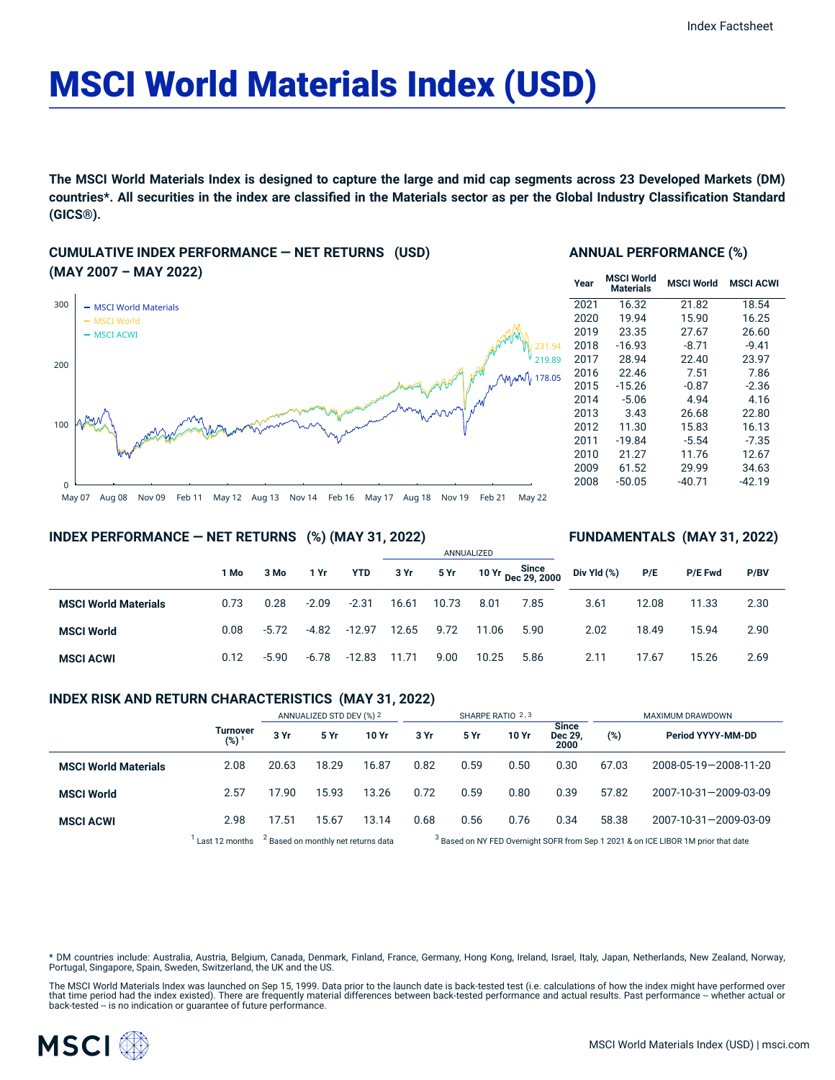# MSCI World Materials Index (USD)

The MSCI World Materials Index is designed to capture the large and mid cap segments across 23 Developed Markets (DM) countries\*. All securities in the index are classified in the Materials sector as per the Global Industry Classification Standard **(GICS®).**

#### **CUMULATIVE INDEX PERFORMANCE — NET RETURNS (USD) (MAY 2007 – MAY 2022)**



#### **ANNUAL PERFORMANCE (%)**

| Year | <b>MSCI World</b><br><b>Materials</b> | <b>MSCI World</b> | <b>MSCI ACWI</b> |
|------|---------------------------------------|-------------------|------------------|
| 2021 | 16.32                                 | 21.82             | 18.54            |
| 2020 | 19.94                                 | 15.90             | 16.25            |
| 2019 | 23.35                                 | 27.67             | 26.60            |
| 2018 | $-16.93$                              | $-8.71$           | $-9.41$          |
| 2017 | 28.94                                 | 22.40             | 23.97            |
| 2016 | 22.46                                 | 7.51              | 7.86             |
| 2015 | $-15.26$                              | $-0.87$           | $-2.36$          |
| 2014 | $-5.06$                               | 4.94              | 4.16             |
| 2013 | 3.43                                  | 26.68             | 22.80            |
| 2012 | 11.30                                 | 15.83             | 16.13            |
| 2011 | $-19.84$                              | $-5.54$           | -7.35            |
| 2010 | 21.27                                 | 11.76             | 12.67            |
| 2009 | 61.52                                 | 29.99             | 34.63            |
| 2008 | $-50.05$                              | $-40.71$          | -42.19           |

**FUNDAMENTALS (MAY 31, 2022)**

**INDEX PERFORMANCE — NET RETURNS (%) (MAY 31, 2022)**

#### ANNUALIZED **1 Mo 3 Mo 1 Yr YTD 3 Yr 5 Yr 10 Yr Since Dec 29, 2000 MSCI World Materials** 0.73 0.28 -2.09 -2.31 16.61 10.73 8.01 7.85 **MSCI World** 0.08 -5.72 -4.82 -12.97 12.65 9.72 11.06 5.90 **MSCI ACWI** 0.12 -5.90 -6.78 -12.83 11.71 9.00 10.25 5.86 **Div Yld (%) P/E P/E Fwd P/BV** 3.61 12.08 11.33 2.30 2.02 18.49 15.94 2.90 2.11 17.67 15.26 2.69

#### **INDEX RISK AND RETURN CHARACTERISTICS (MAY 31, 2022)**

|                             |                     | ANNUALIZED STD DEV (%) 2                       |       | SHARPE RATIO 2,3 |                                                                                               |      |       | MAXIMUM DRAWDOWN                |       |                       |
|-----------------------------|---------------------|------------------------------------------------|-------|------------------|-----------------------------------------------------------------------------------------------|------|-------|---------------------------------|-------|-----------------------|
|                             | Turnover<br>$(%)^1$ | 3 Yr                                           | 5 Yr  | 10 Yr            | 3 Yr                                                                                          | 5 Yr | 10 Yr | <b>Since</b><br>Dec 29.<br>2000 | (%)   | Period YYYY-MM-DD     |
| <b>MSCI World Materials</b> | 2.08                | 20.63                                          | 18.29 | 16.87            | 0.82                                                                                          | 0.59 | 0.50  | 0.30                            | 67.03 | 2008-05-19-2008-11-20 |
| <b>MSCI World</b>           | 2.57                | 17.90                                          | 15.93 | 13.26            | 0.72                                                                                          | 0.59 | 0.80  | 0.39                            | 57.82 | 2007-10-31-2009-03-09 |
| <b>MSCI ACWI</b>            | 2.98                | 17.51                                          | 15.67 | 13.14            | 0.68                                                                                          | 0.56 | 0.76  | 0.34                            | 58.38 | 2007-10-31-2009-03-09 |
|                             | Last 12 months      | <sup>2</sup> Based on monthly net returns data |       |                  | <sup>3</sup> Based on NY FED Overnight SOFR from Sep 1 2021 & on ICE LIBOR 1M prior that date |      |       |                                 |       |                       |

ased on NY FED Overnight SOFR from Sep 1 2021 & on ICE LIBOR 1M prior that date

\* DM countries include: Australia, Austria, Belgium, Canada, Denmark, Finland, France, Germany, Hong Kong, Ireland, Israel, Italy, Japan, Netherlands, New Zealand, Norway,<br>Portugal, Singapore, Spain, Sweden, Switzerland, t

The MSCI World Materials Index was launched on Sep 15, 1999. Data prior to the launch date is back-tested test (i.e. calculations of how the index might have performed over<br>that time period had the index existed). There ar

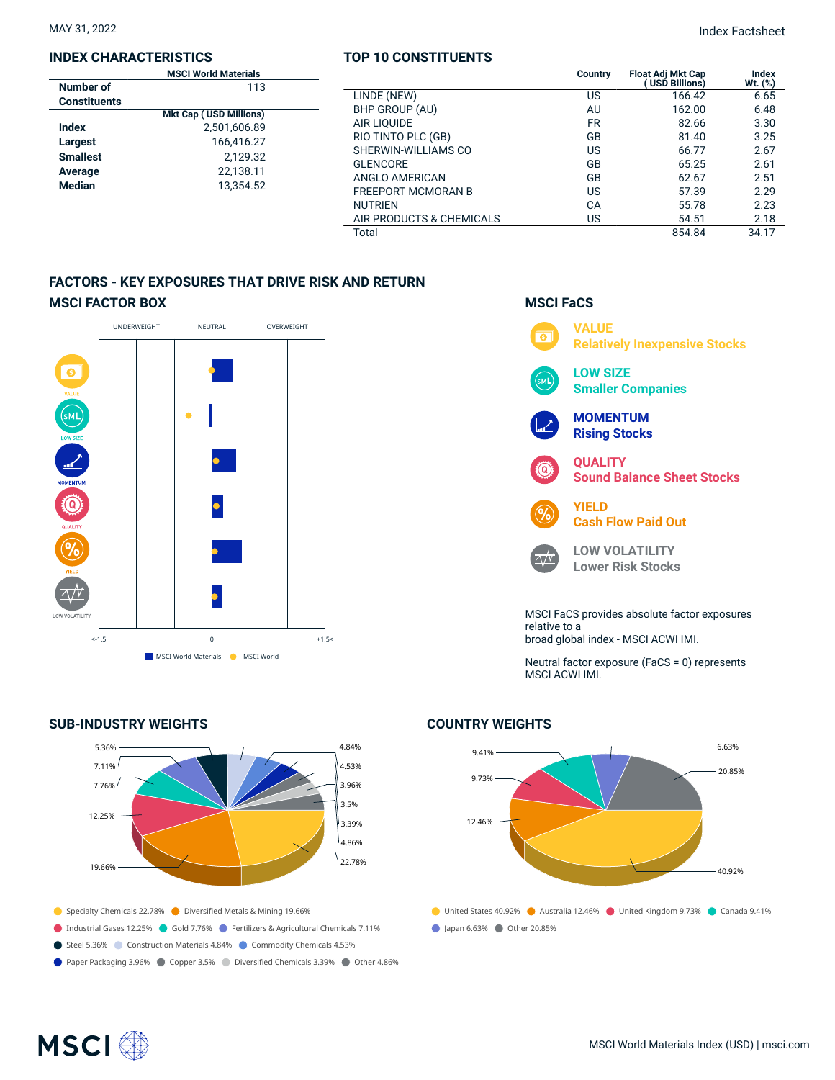#### **INDEX CHARACTERISTICS**

|                     | <b>MSCI World Materials</b>   |  |
|---------------------|-------------------------------|--|
| Number of           | 113                           |  |
| <b>Constituents</b> |                               |  |
|                     | <b>Mkt Cap (USD Millions)</b> |  |
| Index               | 2,501,606.89                  |  |
| Largest             | 166,416.27                    |  |
| <b>Smallest</b>     | 2.129.32                      |  |
| Average             | 22,138.11                     |  |
| <b>Median</b>       | 13.354.52                     |  |
|                     |                               |  |

#### **TOP 10 CONSTITUENTS**

MAY 31, 2022 Index Factsheet

| <b>MSCI World Materials</b><br>113 |                           | Country   | <b>Float Adj Mkt Cap</b><br>USD Billions) | Index<br>Wt. (%) |
|------------------------------------|---------------------------|-----------|-------------------------------------------|------------------|
|                                    | LINDE (NEW)               | US        | 166.42                                    | 6.65             |
| <b>Mkt Cap (USD Millions)</b>      | BHP GROUP (AU)            | AU        | 162.00                                    | 6.48             |
| 2,501,606.89<br>166,416.27         | AIR LIOUIDE               | <b>FR</b> | 82.66                                     | 3.30             |
|                                    | RIO TINTO PLC (GB)        | GB        | 81.40                                     | 3.25             |
| 2,129.32                           | SHERWIN-WILLIAMS CO       | US        | 66.77                                     | 2.67             |
| 22,138.11                          | <b>GLENCORE</b>           | GB        | 65.25                                     | 2.61             |
|                                    | ANGLO AMERICAN            | GB        | 62.67                                     | 2.51             |
| 13,354.52                          | <b>FREEPORT MCMORAN B</b> | US        | 57.39                                     | 2.29             |
|                                    | <b>NUTRIEN</b>            | CA        | 55.78                                     | 2.23             |
|                                    | AIR PRODUCTS & CHEMICALS  | US        | 54.51                                     | 2.18             |
|                                    | Total                     |           | 854.84                                    | 34.17            |

#### **FACTORS - KEY EXPOSURES THAT DRIVE RISK AND RETURN MSCI FACTOR BOX**



#### **SUB-INDUSTRY WEIGHTS**



### **VALUE**  $\overline{\bullet}$ **Relatively Inexpensive Stocks LOW SIZE** м١ **Smaller Companies MOMENTUM Rising Stocks QUALITY** ධ **Sound Balance Sheet Stocks YIELD Cash Flow Paid Out LOW VOLATILITY**  $\sqrt{V}$ **Lower Risk Stocks** MSCI FaCS provides absolute factor exposures relative to a broad global index - MSCI ACWI IMI.

**MSCI FaCS**

Neutral factor exposure (FaCS = 0) represents MSCI ACWI IMI.

#### **COUNTRY WEIGHTS**



## **MSCI**<sup>®</sup>